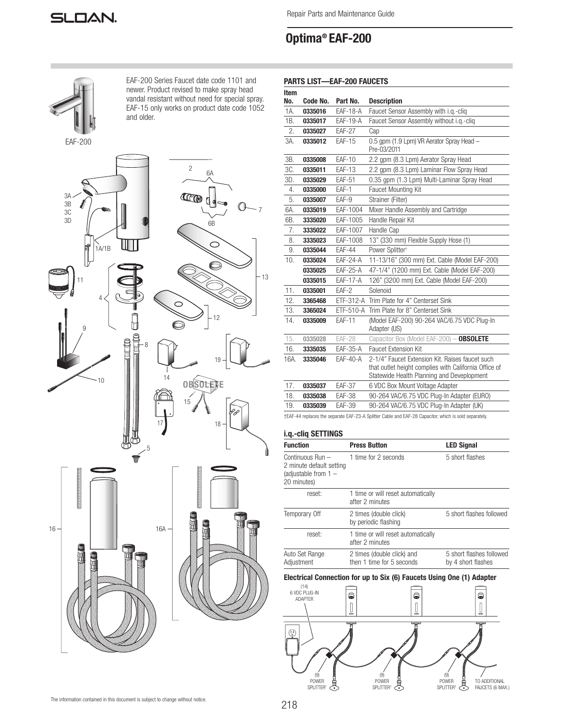

Repair Parts and Maintenance Guide

# Optima® EAF-200



EAF-200 Series Faucet date code 1101 and newer. Product revised to make spray head vandal resistant without need for special spray. EAF-15 only works on product date code 1052 and older.





# PARTS LIST—EAF-200 FAUCETS

| Item<br>No. | Code No. | Part No.        | <b>Description</b>                                                                                                                                     |  |  |
|-------------|----------|-----------------|--------------------------------------------------------------------------------------------------------------------------------------------------------|--|--|
| 1A.         | 0335016  | <b>EAF-18-A</b> | Faucet Sensor Assembly with i.g.-clig                                                                                                                  |  |  |
| 1B.         | 0335017  | <b>EAF-19-A</b> | Faucet Sensor Assembly without i.g.-clig                                                                                                               |  |  |
| 2.          | 0335027  | <b>EAF-27</b>   | Cap                                                                                                                                                    |  |  |
| 3A.         | 0335012  | <b>EAF-15</b>   | 0.5 gpm (1.9 Lpm) VR Aerator Spray Head -<br>Pre-03/2011                                                                                               |  |  |
| 3B.         | 0335008  | <b>EAF-10</b>   | 2.2 gpm (8.3 Lpm) Aerator Spray Head                                                                                                                   |  |  |
| 3C.         | 0335011  | <b>EAF-13</b>   | 2.2 gpm (8.3 Lpm) Laminar Flow Spray Head                                                                                                              |  |  |
| 3D.         | 0335029  | <b>EAF-51</b>   | 0.35 gpm (1.3 Lpm) Multi-Laminar Spray Head                                                                                                            |  |  |
| 4.          | 0335000  | EAF-1           | Faucet Mounting Kit                                                                                                                                    |  |  |
| 5.          | 0335007  | EAF-9           | Strainer (Filter)                                                                                                                                      |  |  |
| 6A.         | 0335019  | EAF-1004        | Mixer Handle Assembly and Cartridge                                                                                                                    |  |  |
| 6B.         | 3335020  | EAF-1005        | Handle Repair Kit                                                                                                                                      |  |  |
| 7.          | 3335022  | EAF-1007        | Handle Cap                                                                                                                                             |  |  |
| 8.          | 3335023  | EAF-1008        | 13" (330 mm) Flexible Supply Hose (1)                                                                                                                  |  |  |
| 9.          | 0335044  | <b>EAF-44</b>   | Power Splitter <sup>+</sup>                                                                                                                            |  |  |
| 10.         | 0335024  | $EAF-24-A$      | 11-13/16" (300 mm) Ext. Cable (Model EAF-200)                                                                                                          |  |  |
|             | 0335025  | <b>EAF-25-A</b> | 47-1/4" (1200 mm) Ext. Cable (Model EAF-200)                                                                                                           |  |  |
|             | 0335015  | <b>EAF-17-A</b> | 126" (3200 mm) Ext. Cable (Model EAF-200)                                                                                                              |  |  |
| 11.         | 0335001  | EAF-2           | Solenoid                                                                                                                                               |  |  |
| 12.         | 3365468  | ETF-312-A       | Trim Plate for 4" Centerset Sink                                                                                                                       |  |  |
| 13.         | 3365024  | ETF-510-A       | Trim Plate for 8" Centerset Sink                                                                                                                       |  |  |
| 14.         | 0335009  | <b>EAF-11</b>   | (Model EAF-200) 90-264 VAC/6.75 VDC Plug-In<br>Adapter (US)                                                                                            |  |  |
| 15.         | 0335028  | <b>EAF-28</b>   | Capacitor Box (Model EAF-200) - OBSOLETE                                                                                                               |  |  |
| 16.         | 3335035  | <b>EAF-35-A</b> | <b>Faucet Extension Kit</b>                                                                                                                            |  |  |
| 16A.        | 3335046  | $EAF-40-A$      | 2-1/4" Faucet Extension Kit. Raises faucet such<br>that outlet height complies with California Office of<br>Statewide Health Planning and Deveplopment |  |  |
| 17.         | 0335037  | <b>EAF-37</b>   | 6 VDC Box Mount Voltage Adapter                                                                                                                        |  |  |
| 18.         | 0335038  | <b>EAF-38</b>   | 90-264 VAC/6.75 VDC Plug-In Adapter (EURO)                                                                                                             |  |  |
| 19.         | 0335039  | <b>EAF-39</b>   | 90-264 VAC/6.75 VDC Plug-In Adapter (UK)                                                                                                               |  |  |
|             |          |                 | +EAF-44 replaces the separate EAF-23-A Splitter Cable and EAF-28 Capacitor, which is sold separately.                                                  |  |  |

# i.q.-cliq SETTINGS

| <b>Function</b>                                                                       | <b>Press Button</b>                                     | <b>LED Signal</b>                              |
|---------------------------------------------------------------------------------------|---------------------------------------------------------|------------------------------------------------|
| Continuous Run -<br>2 minute default setting<br>(adjustable from $1 -$<br>20 minutes) | 1 time for 2 seconds                                    | 5 short flashes                                |
| reset:                                                                                | 1 time or will reset automatically<br>after 2 minutes   |                                                |
| Temporary Off                                                                         | 2 times (double click)<br>by periodic flashing          | 5 short flashes followed                       |
| reset:                                                                                | 1 time or will reset automatically<br>after 2 minutes   |                                                |
| Auto Set Range<br>Adjustment                                                          | 2 times (double click) and<br>then 1 time for 5 seconds | 5 short flashes followed<br>by 4 short flashes |

# Electrical Connection for up to Six (6) Faucets Using One (1) Adapter